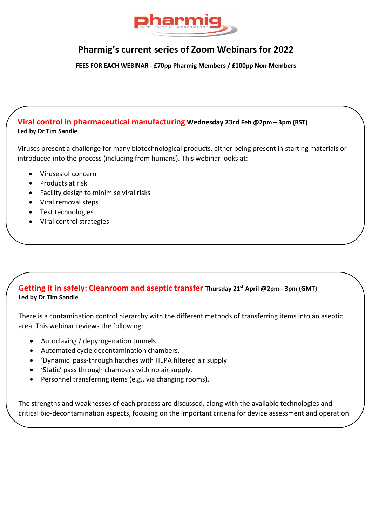

# **Pharmig's current series of Zoom Webinars for 2022**

**FEES FOR EACH WEBINAR - £70pp Pharmig Members / £100pp Non-Members**

### **Viral control in pharmaceutical manufacturing Wednesday 23rd Feb @2pm – 3pm (BST) Led by Dr Tim Sandle**

Viruses present a challenge for many biotechnological products, either being present in starting materials or introduced into the process (including from humans). This webinar looks at:

- Viruses of concern
- Products at risk
- Facility design to minimise viral risks
- Viral removal steps
- Test technologies
- Viral control strategies

### **Getting it in safely: Cleanroom and aseptic transfer Thursday 21st April @2pm - 3pm (GMT) Led by Dr Tim Sandle**

There is a contamination control hierarchy with the different methods of transferring items into an aseptic area. This webinar reviews the following:

- Autoclaving / depyrogenation tunnels
- Automated cycle decontamination chambers.
- 'Dynamic' pass-through hatches with HEPA filtered air supply.
- 'Static' pass through chambers with no air supply.
- Personnel transferring items (e.g., via changing rooms).

The strengths and weaknesses of each process are discussed, along with the available technologies and critical bio-decontamination aspects, focusing on the important criteria for device assessment and operation.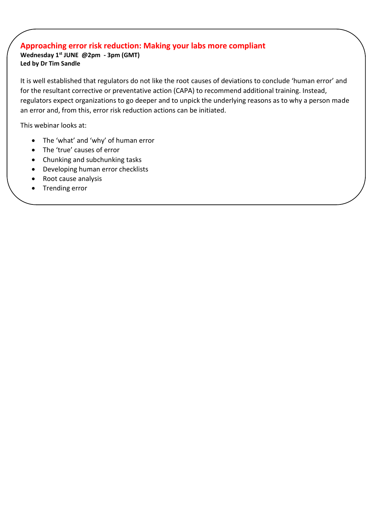## **Approaching error risk reduction: Making your labs more compliant**

**Wednesday 1st JUNE @2pm - 3pm (GMT) Led by Dr Tim Sandle**

It is well established that regulators do not like the root causes of deviations to conclude 'human error' and for the resultant corrective or preventative action (CAPA) to recommend additional training. Instead, regulators expect organizations to go deeper and to unpick the underlying reasons as to why a person made an error and, from this, error risk reduction actions can be initiated.

This webinar looks at:

- The 'what' and 'why' of human error
- The 'true' causes of error
- Chunking and subchunking tasks
- Developing human error checklists
- Root cause analysis
- Trending error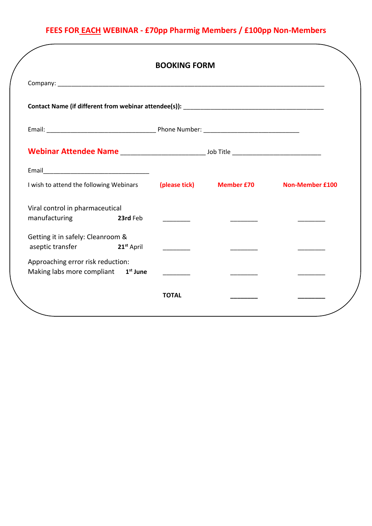# **FEES FOR EACH WEBINAR - £70pp Pharmig Members / £100pp Non-Members**

|                                                                         |          | <b>BOOKING FORM</b> |                          |                        |
|-------------------------------------------------------------------------|----------|---------------------|--------------------------|------------------------|
|                                                                         |          |                     |                          |                        |
|                                                                         |          |                     |                          |                        |
|                                                                         |          |                     |                          |                        |
|                                                                         |          |                     |                          |                        |
| I wish to attend the following Webinars                                 |          |                     | (please tick) Member £70 | <b>Non-Member £100</b> |
| Viral control in pharmaceutical                                         |          |                     |                          |                        |
| manufacturing                                                           | 23rd Feb |                     |                          |                        |
| Getting it in safely: Cleanroom &<br>aseptic transfer <b>21st</b> April |          |                     |                          |                        |
| Approaching error risk reduction:                                       |          |                     |                          |                        |
| Making labs more compliant 1 <sup>st</sup> June                         |          |                     |                          |                        |
|                                                                         |          | <b>TOTAL</b>        |                          |                        |
|                                                                         |          |                     |                          |                        |